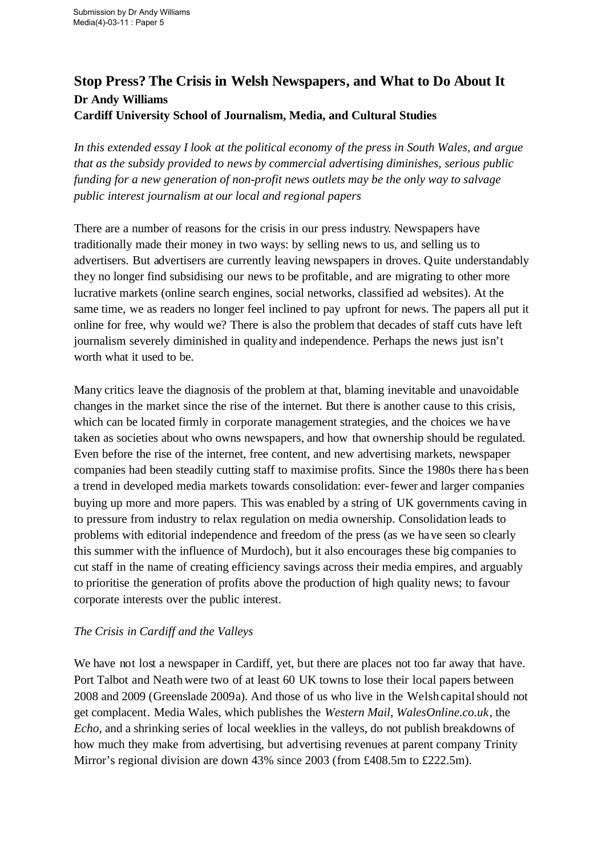# **Stop Press? The Crisis in Welsh Newspapers, and What to Do About It Dr Andy Williams Cardiff University School of Journalism, Media, and Cultural Studies**

*In this extended essay I look at the political economy of the press in South Wales, and argue that as the subsidy provided to news by commercial advertising diminishes, serious public funding for a new generation of non-profit news outlets may be the only way to salvage public interest journalism at our local and regional papers*

There are a number of reasons for the crisis in our press industry. Newspapers have traditionally made their money in two ways: by selling news to us, and selling us to advertisers. But advertisers are currently leaving newspapers in droves. Quite understandably they no longer find subsidising our news to be profitable, and are migrating to other more lucrative markets (online search engines, social networks, classified ad websites). At the same time, we as readers no longer feel inclined to pay upfront for news. The papers all put it online for free, why would we? There is also the problem that decades of staff cuts have left journalism severely diminished in qualityand independence. Perhaps the news just isn't worth what it used to be.

Many critics leave the diagnosis of the problem at that, blaming inevitable and unavoidable changes in the market since the rise of the internet. But there is another cause to this crisis, which can be located firmly in corporate management strategies, and the choices we have taken as societies about who owns newspapers, and how that ownership should be regulated. Even before the rise of the internet, free content, and new advertising markets, newspaper companies had been steadily cutting staff to maximise profits. Since the 1980s there ha s been a trend in developed media markets towards consolidation: ever-fewer and larger companies buying up more and more papers. This was enabled by a string of UK governments caving in to pressure from industry to relax regulation on media ownership. Consolidation leads to problems with editorial independence and freedom of the press (as we have seen so clearly this summer with the influence of Murdoch), but it also encourages these big companies to cut staff in the name of creating efficiency savings across their media empires, and arguably to prioritise the generation of profits above the production of high quality news; to favour corporate interests over the public interest.

### *The Crisis in Cardiff and the Valleys*

We have not lost a newspaper in Cardiff, yet, but there are places not too far away that have. Port Talbot and Neathwere two of at least 60 UK towns to lose their local papers between 2008 and 2009 (Greenslade 2009a). And those of us who live in the Welsh capital should not get complacent. Media Wales, which publishes the *Western Mail*, *WalesOnline.co.uk*, the *Echo*, and a shrinking series of local weeklies in the valleys, do not publish breakdowns of how much they make from advertising, but advertising revenues at parent company Trinity Mirror's regional division are down 43% since 2003 (from £408.5m to £222.5m).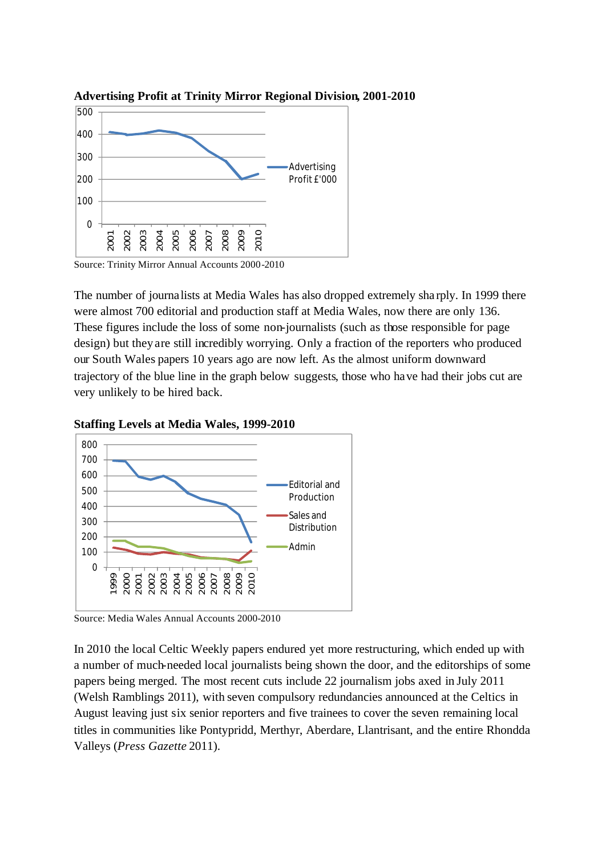

**Advertising Profit at Trinity Mirror Regional Division, 2001-2010**

Source: Trinity Mirror Annual Accounts 2000-2010

The number of journalists at Media Wales has also dropped extremely sha rply. In 1999 there were almost 700 editorial and production staff at Media Wales, now there are only 136. These figures include the loss of some non-journalists (such as those responsible for page design) but they are still incredibly worrying. Only a fraction of the reporters who produced our South Wales papers 10 years ago are now left. As the almost uniform downward trajectory of the blue line in the graph below suggests, those who have had their jobs cut are very unlikely to be hired back.





Source: Media Wales Annual Accounts 2000-2010

In 2010 the local Celtic Weekly papers endured yet more restructuring, which ended up with a number of much-needed local journalists being shown the door, and the editorships of some papers being merged. The most recent cuts include 22 journalism jobs axed in July 2011 (Welsh Ramblings 2011), with seven compulsory redundancies announced at the Celtics in August leaving just six senior reporters and five trainees to cover the seven remaining local titles in communities like Pontypridd, Merthyr, Aberdare, Llantrisant, and the entire Rhondda Valleys (*Press Gazette* 2011).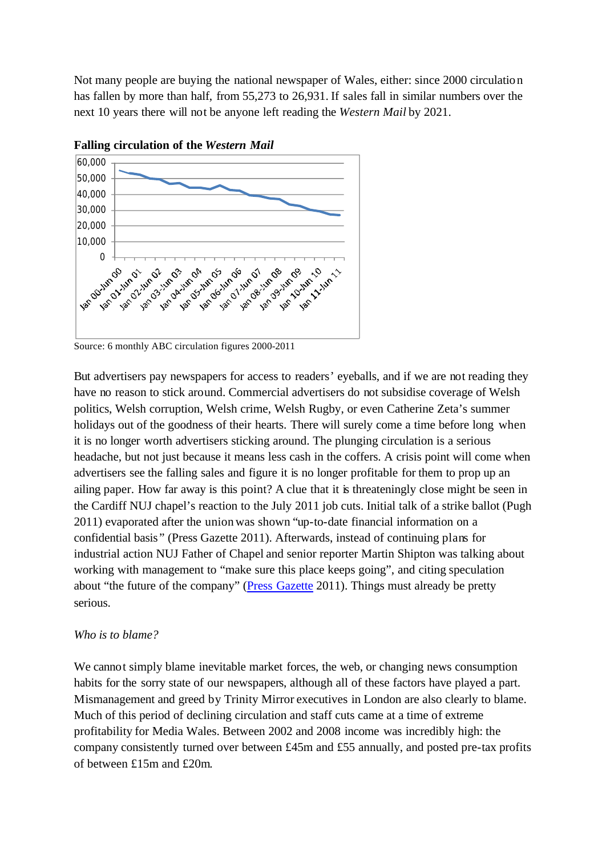Not many people are buying the national newspaper of Wales, either: since 2000 circulation has fallen by more than half, from 55,273 to 26,931. If sales fall in similar numbers over the next 10 years there will not be anyone left reading the *Western Mail* by 2021.



**Falling circulation of the** *Western Mail*

Source: 6 monthly ABC circulation figures 2000-2011

But advertisers pay newspapers for access to readers' eyeballs, and if we are not reading they have no reason to stick around. Commercial advertisers do not subsidise coverage of Welsh politics, Welsh corruption, Welsh crime, Welsh Rugby, or even Catherine Zeta's summer holidays out of the goodness of their hearts. There will surely come a time before long when it is no longer worth advertisers sticking around. The plunging circulation is a serious headache, but not just because it means less cash in the coffers. A crisis point will come when advertisers see the falling sales and figure it is no longer profitable for them to prop up an ailing paper. How far away is this point? A clue that it is threateningly close might be seen in the Cardiff NUJ chapel's reaction to the July 2011 job cuts. Initial talk of a strike ballot (Pugh 2011) evaporated after the union was shown "up-to-date financial information on a confidential basis " (Press Gazette 2011). Afterwards, instead of continuing plans for industrial action NUJ Father of Chapel and senior reporter Martin Shipton was talking about working with management to "make sure this place keeps going", and citing speculation about "the future of the company" (Press Gazette 2011). Things must already be pretty serious.

### *Who is to blame?*

We cannot simply blame inevitable market forces, the web, or changing news consumption habits for the sorry state of our newspapers, although all of these factors have played a part. Mismanagement and greed by Trinity Mirror executives in London are also clearly to blame. Much of this period of declining circulation and staff cuts came at a time of extreme profitability for Media Wales. Between 2002 and 2008 income was incredibly high: the company consistently turned over between £45m and £55 annually, and posted pre-tax profits of between £15m and £20m.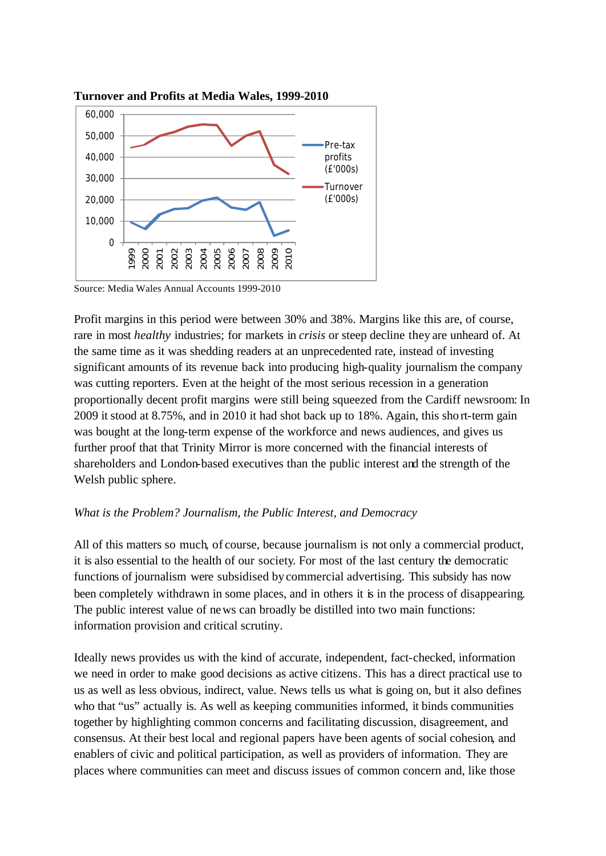

**Turnover and Profits at Media Wales, 1999-2010**

Source: Media Wales Annual Accounts 1999-2010

Profit margins in this period were between 30% and 38%. Margins like this are, of course, rare in most *healthy* industries; for markets in *crisis* or steep decline they are unheard of. At the same time as it was shedding readers at an unprecedented rate, instead of investing significant amounts of its revenue back into producing high-quality journalism the company was cutting reporters. Even at the height of the most serious recession in a generation proportionally decent profit margins were still being squeezed from the Cardiff newsroom: In 2009 it stood at 8.75%, and in 2010 it had shot back up to 18%. Again, this short-term gain was bought at the long-term expense of the workforce and news audiences, and gives us further proof that that Trinity Mirror is more concerned with the financial interests of shareholders and London-based executives than the public interest and the strength of the Welsh public sphere.

#### *What is the Problem? Journalism, the Public Interest, and Democracy*

All of this matters so much, of course, because journalism is not only a commercial product, it is also essential to the health of our society. For most of the last century the democratic functions of journalism were subsidised by commercial advertising. This subsidy has now been completely withdrawn in some places, and in others it is in the process of disappearing. The public interest value of news can broadly be distilled into two main functions: information provision and critical scrutiny.

Ideally news provides us with the kind of accurate, independent, fact-checked, information we need in order to make good decisions as active citizens. This has a direct practical use to us as well as less obvious, indirect, value. News tells us what is going on, but it also defines who that "us" actually is. As well as keeping communities informed, it binds communities together by highlighting common concerns and facilitating discussion, disagreement, and consensus. At their best local and regional papers have been agents of social cohesion, and enablers of civic and political participation, as well as providers of information. They are places where communities can meet and discuss issues of common concern and, like those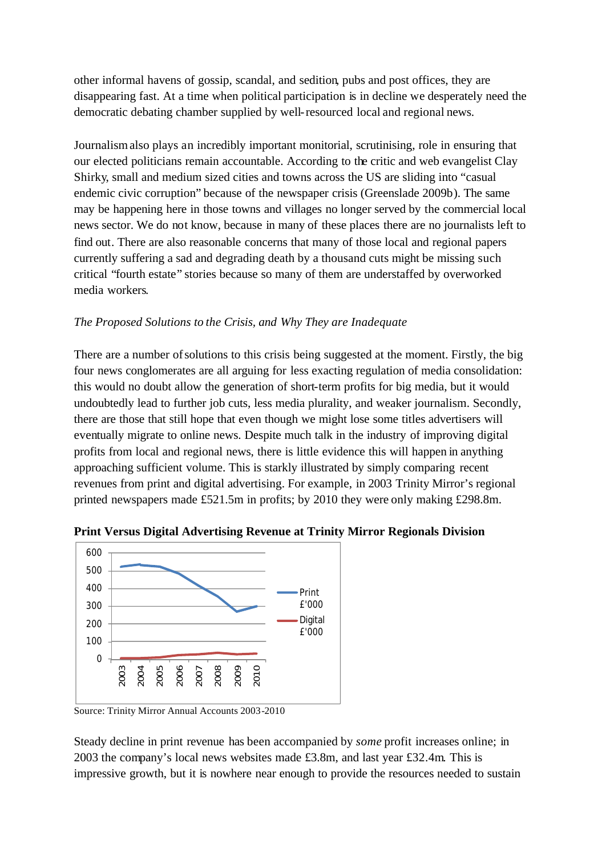other informal havens of gossip, scandal, and sedition, pubs and post offices, they are disappearing fast. At a time when political participation is in decline we desperately need the democratic debating chamber supplied by well-resourced local and regional news.

Journalismalso plays an incredibly important monitorial, scrutinising, role in ensuring that our elected politicians remain accountable. According to the critic and web evangelist Clay Shirky, small and medium sized cities and towns across the US are sliding into "casual endemic civic corruption" because of the newspaper crisis (Greenslade 2009b). The same may be happening here in those towns and villages no longer served by the commercial local news sector. We do not know, because in many of these places there are no journalists left to find out. There are also reasonable concerns that many of those local and regional papers currently suffering a sad and degrading death by a thousand cuts might be missing such critical "fourth estate" stories because so many of them are understaffed by overworked media workers.

## *The Proposed Solutions to the Crisis, and Why They are Inadequate*

There are a number of solutions to this crisis being suggested at the moment. Firstly, the big four news conglomerates are all arguing for less exacting regulation of media consolidation: this would no doubt allow the generation of short-term profits for big media, but it would undoubtedly lead to further job cuts, less media plurality, and weaker journalism. Secondly, there are those that still hope that even though we might lose some titles advertisers will eventually migrate to online news. Despite much talk in the industry of improving digital profits from local and regional news, there is little evidence this will happen in anything approaching sufficient volume. This is starkly illustrated by simply comparing recent revenues from print and digital advertising. For example, in 2003 Trinity Mirror's regional printed newspapers made £521.5m in profits; by 2010 they were only making £298.8m.



**Print Versus Digital Advertising Revenue at Trinity Mirror Regionals Division**

Source: Trinity Mirror Annual Accounts 2003-2010

Steady decline in print revenue has been accompanied by *some* profit increases online; in 2003 the company's local news websites made £3.8m, and last year £32.4m. This is impressive growth, but it is nowhere near enough to provide the resources needed to sustain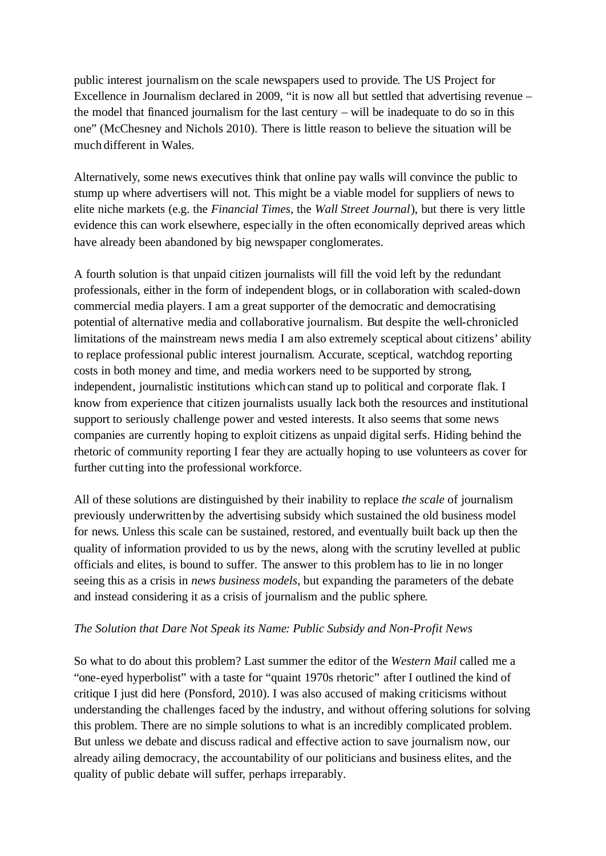public interest journalism on the scale newspapers used to provide. The US Project for Excellence in Journalism declared in 2009, "it is now all but settled that advertising revenue – the model that financed journalism for the last century – will be inadequate to do so in this one" (McChesney and Nichols 2010). There is little reason to believe the situation will be much different in Wales.

Alternatively, some news executives think that online pay walls will convince the public to stump up where advertisers will not. This might be a viable model for suppliers of news to elite niche markets (e.g. the *Financial Times*, the *Wall Street Journal*), but there is very little evidence this can work elsewhere, especially in the often economically deprived areas which have already been abandoned by big newspaper conglomerates.

A fourth solution is that unpaid citizen journalists will fill the void left by the redundant professionals, either in the form of independent blogs, or in collaboration with scaled-down commercial media players. I am a great supporter of the democratic and democratising potential of alternative media and collaborative journalism. But despite the well-chronicled limitations of the mainstream news media I am also extremely sceptical about citizens' ability to replace professional public interest journalism. Accurate, sceptical, watchdog reporting costs in both money and time, and media workers need to be supported by strong, independent, journalistic institutions which can stand up to political and corporate flak. I know from experience that citizen journalists usually lack both the resources and institutional support to seriously challenge power and vested interests. It also seems that some news companies are currently hoping to exploit citizens as unpaid digital serfs. Hiding behind the rhetoric of community reporting I fear they are actually hoping to use volunteers as cover for further cutting into the professional workforce.

All of these solutions are distinguished by their inability to replace *the scale* of journalism previously underwritten by the advertising subsidy which sustained the old business model for news. Unless this scale can be sustained, restored, and eventually built back up then the quality of information provided to us by the news, along with the scrutiny levelled at public officials and elites, is bound to suffer. The answer to this problem has to lie in no longer seeing this as a crisis in *news business models*, but expanding the parameters of the debate and instead considering it as a crisis of journalism and the public sphere.

### *The Solution that Dare Not Speak its Name: Public Subsidy and Non-Profit News*

So what to do about this problem? Last summer the editor of the *Western Mail* called me a "one-eyed hyperbolist" with a taste for "quaint 1970s rhetoric" after I outlined the kind of critique I just did here (Ponsford, 2010). I was also accused of making criticisms without understanding the challenges faced by the industry, and without offering solutions for solving this problem. There are no simple solutions to what is an incredibly complicated problem. But unless we debate and discuss radical and effective action to save journalism now, our already ailing democracy, the accountability of our politicians and business elites, and the quality of public debate will suffer, perhaps irreparably.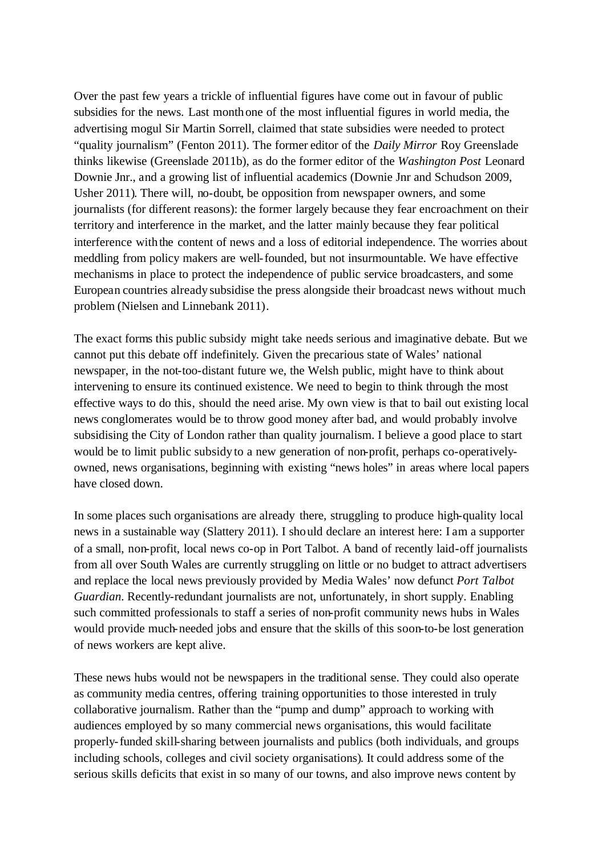Over the past few years a trickle of influential figures have come out in favour of public subsidies for the news. Last monthone of the most influential figures in world media, the advertising mogul Sir Martin Sorrell, claimed that state subsidies were needed to protect "quality journalism" (Fenton 2011). The former editor of the *Daily Mirror* Roy Greenslade thinks likewise (Greenslade 2011b), as do the former editor of the *Washington Post* Leonard Downie Jnr., and a growing list of influential academics (Downie Jnr and Schudson 2009, Usher 2011). There will, no-doubt, be opposition from newspaper owners, and some journalists (for different reasons): the former largely because they fear encroachment on their territory and interference in the market, and the latter mainly because they fear political interference with the content of news and a loss of editorial independence. The worries about meddling from policy makers are well-founded, but not insurmountable. We have effective mechanisms in place to protect the independence of public service broadcasters, and some European countries already subsidise the press alongside their broadcast news without much problem (Nielsen and Linnebank 2011).

The exact forms this public subsidy might take needs serious and imaginative debate. But we cannot put this debate off indefinitely. Given the precarious state of Wales' national newspaper, in the not-too-distant future we, the Welsh public, might have to think about intervening to ensure its continued existence. We need to begin to think through the most effective ways to do this, should the need arise. My own view is that to bail out existing local news conglomerates would be to throw good money after bad, and would probably involve subsidising the City of London rather than quality journalism. I believe a good place to start would be to limit public subsidy to a new generation of non-profit, perhaps co-operativelyowned, news organisations, beginning with existing "news holes" in areas where local papers have closed down.

In some places such organisations are already there, struggling to produce high-quality local news in a sustainable way (Slattery 2011). I should declare an interest here: I am a supporter of a small, non-profit, local news co-op in Port Talbot. A band of recently laid-off journalists from all over South Wales are currently struggling on little or no budget to attract advertisers and replace the local news previously provided by Media Wales' now defunct *Port Talbot Guardian*. Recently-redundant journalists are not, unfortunately, in short supply. Enabling such committed professionals to staff a series of non-profit community news hubs in Wales would provide much-needed jobs and ensure that the skills of this soon-to-be lost generation of news workers are kept alive.

These news hubs would not be newspapers in the traditional sense. They could also operate as community media centres, offering training opportunities to those interested in truly collaborative journalism. Rather than the "pump and dump" approach to working with audiences employed by so many commercial news organisations, this would facilitate properly-funded skill-sharing between journalists and publics (both individuals, and groups including schools, colleges and civil society organisations). It could address some of the serious skills deficits that exist in so many of our towns, and also improve news content by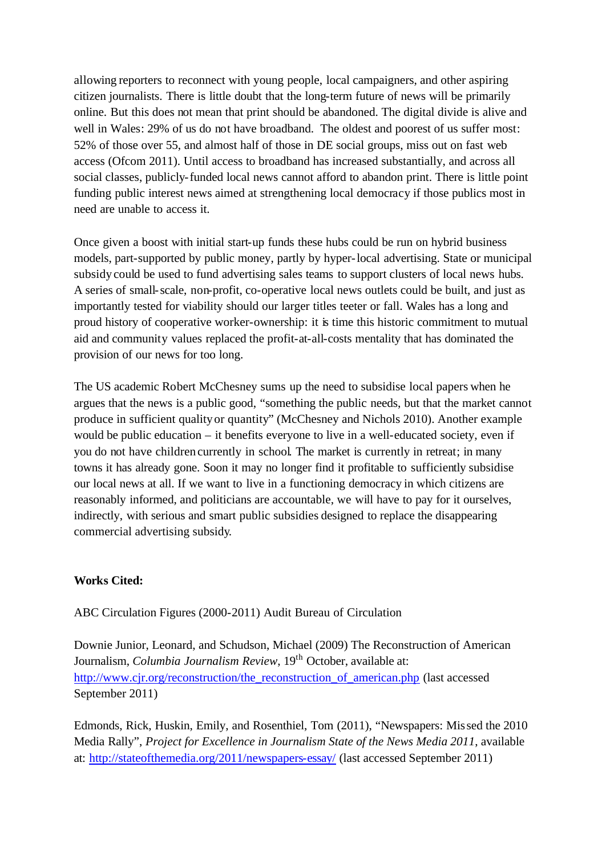allowing reporters to reconnect with young people, local campaigners, and other aspiring citizen journalists. There is little doubt that the long-term future of news will be primarily online. But this does not mean that print should be abandoned. The digital divide is alive and well in Wales: 29% of us do not have broadband. The oldest and poorest of us suffer most: 52% of those over 55, and almost half of those in DE social groups, miss out on fast web access (Ofcom 2011). Until access to broadband has increased substantially, and across all social classes, publicly-funded local news cannot afford to abandon print. There is little point funding public interest news aimed at strengthening local democracy if those publics most in need are unable to access it.

Once given a boost with initial start-up funds these hubs could be run on hybrid business models, part-supported by public money, partly by hyper-local advertising. State or municipal subsidy could be used to fund advertising sales teams to support clusters of local news hubs. A series of small-scale, non-profit, co-operative local news outlets could be built, and just as importantly tested for viability should our larger titles teeter or fall. Wales has a long and proud history of cooperative worker-ownership: it is time this historic commitment to mutual aid and community values replaced the profit-at-all-costs mentality that has dominated the provision of our news for too long.

The US academic Robert McChesney sums up the need to subsidise local papers when he argues that the news is a public good, "something the public needs, but that the market cannot produce in sufficient quality or quantity" (McChesney and Nichols 2010). Another example would be public education – it benefits everyone to live in a well-educated society, even if you do not have children currently in school. The market is currently in retreat; in many towns it has already gone. Soon it may no longer find it profitable to sufficiently subsidise our local news at all. If we want to live in a functioning democracy in which citizens are reasonably informed, and politicians are accountable, we will have to pay for it ourselves, indirectly, with serious and smart public subsidies designed to replace the disappearing commercial advertising subsidy.

### **Works Cited:**

ABC Circulation Figures (2000-2011) Audit Bureau of Circulation

Downie Junior, Leonard, and Schudson, Michael (2009) The Reconstruction of American Journalism, *Columbia Journalism Review*, 19<sup>th</sup> October, available at: http://www.cjr.org/reconstruction/the\_reconstruction\_of\_american.php (last accessed September 2011)

Edmonds, Rick, Huskin, Emily, and Rosenthiel, Tom (2011), "Newspapers: Missed the 2010 Media Rally", *Project for Excellence in Journalism State of the News Media 2011*, available at: http://stateofthemedia.org/2011/newspapers-essay/ (last accessed September 2011)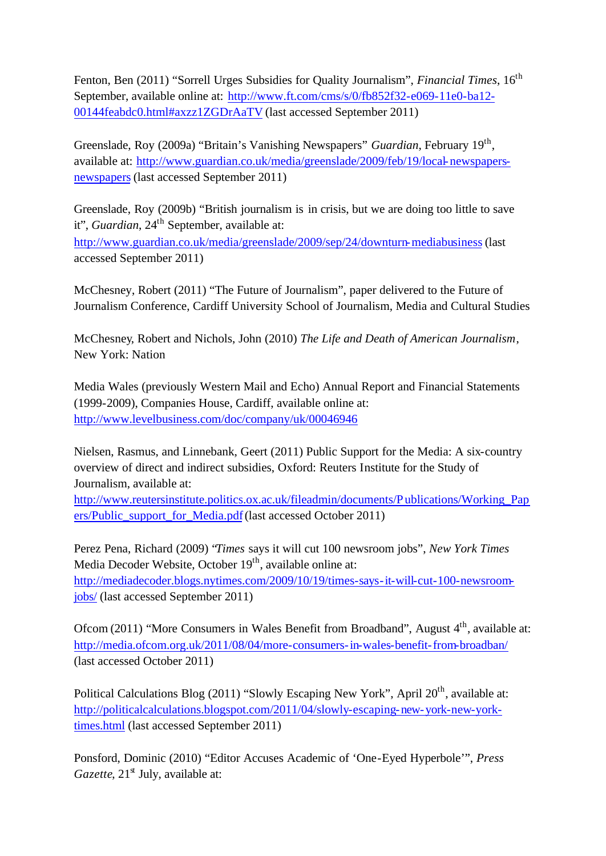Fenton, Ben (2011) "Sorrell Urges Subsidies for Quality Journalism", *Financial Times*, 16<sup>th</sup> September, available online at: http://www.ft.com/cms/s/0/fb852f32-e069-11e0-ba12- 00144feabdc0.html#axzz1ZGDrAaTV (last accessed September 2011)

Greenslade, Roy (2009a) "Britain's Vanishing Newspapers" *Guardian*, February 19<sup>th</sup>, available at: http://www.guardian.co.uk/media/greenslade/2009/feb/19/local-newspapersnewspapers(last accessed September 2011)

Greenslade, Roy (2009b) "British journalism is in crisis, but we are doing too little to save it", *Guardian*, 24<sup>th</sup> September, available at:

http://www.guardian.co.uk/media/greenslade/2009/sep/24/downturn-mediabusiness (last accessed September 2011)

McChesney, Robert (2011) "The Future of Journalism", paper delivered to the Future of Journalism Conference, Cardiff University School of Journalism, Media and Cultural Studies

McChesney, Robert and Nichols, John (2010) *The Life and Death of American Journalism*, New York: Nation

Media Wales (previously Western Mail and Echo) Annual Report and Financial Statements (1999-2009), Companies House, Cardiff, available online at: http://www.levelbusiness.com/doc/company/uk/00046946

Nielsen, Rasmus, and Linnebank, Geert (2011) Public Support for the Media: A six-country overview of direct and indirect subsidies, Oxford: Reuters Institute for the Study of Journalism, available at:

http://www.reutersinstitute.politics.ox.ac.uk/fileadmin/documents/Publications/Working\_Pap ers/Public\_support\_for\_Media.pdf(last accessed October 2011)

Perez Pena, Richard (2009) "*Times* says it will cut 100 newsroom jobs", *New York Times* Media Decoder Website, October 19<sup>th</sup>, available online at: http://mediadecoder.blogs.nytimes.com/2009/10/19/times-says-it-will-cut-100-newsroomjobs/ (last accessed September 2011)

Ofcom (2011) "More Consumers in Wales Benefit from Broadband", August 4<sup>th</sup>, available at: http://media.ofcom.org.uk/2011/08/04/more-consumers-in-wales-benefit-from-broadban/ (last accessed October 2011)

Political Calculations Blog (2011) "Slowly Escaping New York", April 20<sup>th</sup>, available at: http://politicalcalculations.blogspot.com/2011/04/slowly-escaping-new-york-new-yorktimes.html (last accessed September 2011)

Ponsford, Dominic (2010) "Editor Accuses Academic of 'One-Eyed Hyperbole'", *Press Gazette*, 21<sup>st</sup> July, available at: